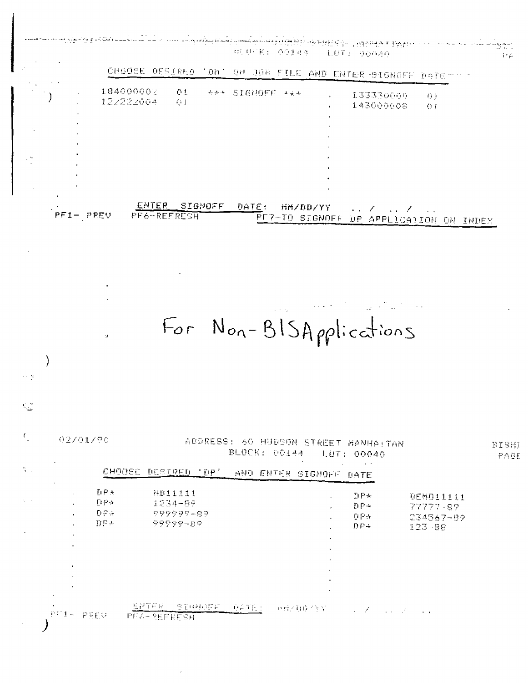|               | i Ciontini di di Misteri ne dan sempembeng persebut menghukum di selah ke ke ke ke di pina dalam dalam ke sela |            |                 |  | BUOCK: 00144 LOT: 00040                                    |            |  |  |
|---------------|----------------------------------------------------------------------------------------------------------------|------------|-----------------|--|------------------------------------------------------------|------------|--|--|
|               |                                                                                                                |            |                 |  | CHOOSE DESIRED 'DM' ON JOB FILE AND ENTER-SIGNOFF DATE-11- |            |  |  |
| $\sim$ $\sim$ | 184000002<br>122222004                                                                                         | -01<br>-01 | AAA SIGNOFF +44 |  | 133330000<br>143000008                                     | -01<br>-01 |  |  |
|               |                                                                                                                |            |                 |  |                                                            |            |  |  |

| $PFI = PREV$ | ENTER SIGNOFF<br>$\texttt{PFG-REFERESH}$ | DATE:<br>PEZ-TO SIGNOFF DP APPLICATION ON INDEX | - 班代プロDZYY - コンディーファンス ニアル |  |
|--------------|------------------------------------------|-------------------------------------------------|----------------------------|--|

For Non-BISApplications

 $\overline{ }$ 

Q.

|                                                         | $\sim$ $ \sim$               | AND ENTER SIGNOFF DATE                                         | DESTRED 'DP'                                | CHOOSE                                                                                |                                                                     | A.                        |
|---------------------------------------------------------|------------------------------|----------------------------------------------------------------|---------------------------------------------|---------------------------------------------------------------------------------------|---------------------------------------------------------------------|---------------------------|
| <b>BEMB11111</b><br>77777-99<br>234567-89<br>$123 - 88$ | DP÷<br>DP+<br>DPA.<br>$DF +$ | $\mathbf{r}$<br>$\mathbf{r}$ .<br>$\blacksquare$               | NB11111<br>1234-89<br>999999-89<br>99999-89 | DPA.<br>DPA.<br>$\Gamma\vdash^{\mathcal{O}}_{\mathcal{P}}$<br>$\mathbf{D} \to \infty$ | $\cdot$ :<br>$\mathbf{L}$<br>$\mathbf{u}$ .<br>$\mathbf{r}$         | $\mathcal{N}_{\rm eff}$ : |
|                                                         |                              | $\mathbf{r}$<br>$\mathbf{r}$<br>$\mathbf{h}$ .<br>$\mathbf{L}$ |                                             |                                                                                       | $\cdot$<br>$\mathbf{r}$ .<br>$\cdot$<br>$\mathcal{L}_{\mathcal{A}}$ | $\sim$                    |
|                                                         |                              | $\mathbf{u}$<br>$\sim$<br>$\cdot$                              |                                             |                                                                                       | $\bullet$                                                           |                           |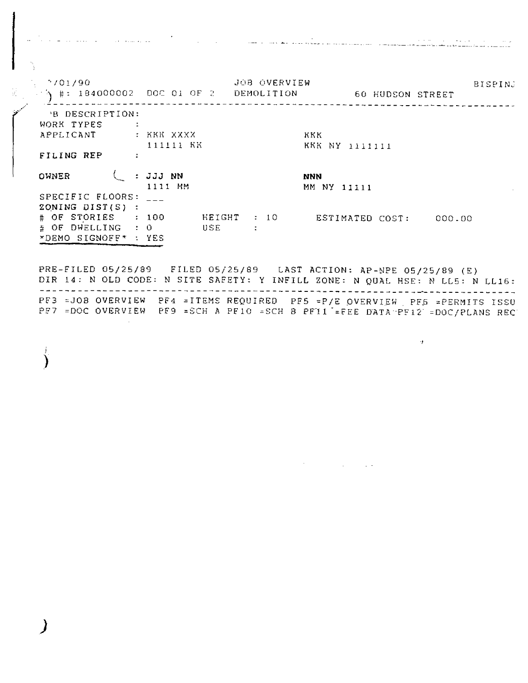الموارد في الموارد الموارد الموارد الموارد الموارد في الموارد الموارد الموارد الموارد الموارد الموارد الموارد <br>وروسي والموارد الموارد الموارد الموارد الموارد الموارد الموارد الموارد الموارد الموارد الموارد الموارد الموارد

 $\alpha$ 

 $2701/90$ JOB OVERVIEW BISPINJ  $\frac{1}{3}$  #: 184000002 DOC 01 OF 2 DEMOLITION 60 HUDSON STREET PB DESCRIPTION: WORK TYPES : APPLICANT : KKK XXXX KKK 111111 KK KKK NY 1111111 FILING REP : OWNER (: JJJ NN **NNN** 1111 MM MM NY 11111 SPECIFIC FLOORS: \_\_\_ ZONING DIST(S) : # OF STORIES : 100 HEIGHT : 10 ESTIMATED COST: 000.00<br># OF DWELLING : 0 USE : \*DEMO SIGNOFF\* : YES

PRE-FILED 05/25/89 FILED 05/25/89 LAST ACTION: AP-NPE 05/25/89 (E) DIR 14: N OLD CODE: N SITE SAFETY: Y INFILL ZONE: N QUAL HSE: N LL5: N LL16: PF3 = JOB OVERVIEW PF4 = ITEMS REQUIRED PF5 = P/E OVERVIEW PF5 = PERMITS ISSU PF7 =DOC OVERVIEW PF9 =SCH A PF10 =SCH B PF11 =FEE DATA PF12 =DOC/PLANS REC

 $\sim 10^{-10}$ 

**Contract Contract** 

℩